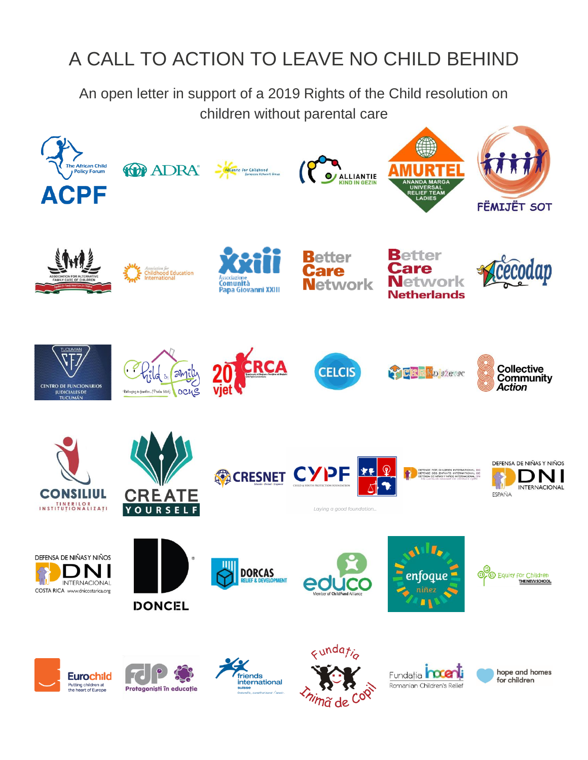# A CALL TO ACTION TO LEAVE NO CHILD BEHIND

An open letter in support of a 2019 Rights of the Child resolution on children without parental care

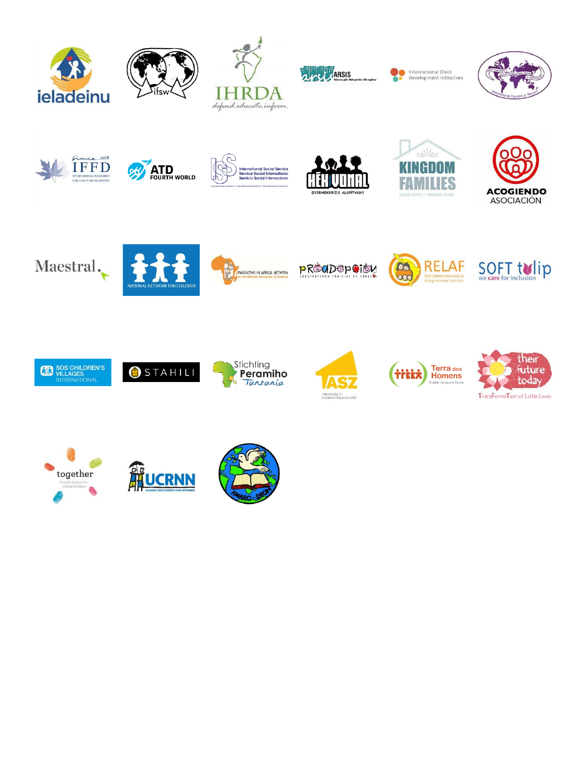







International Child Development Initiatives





















**PROGDOPGION** 





















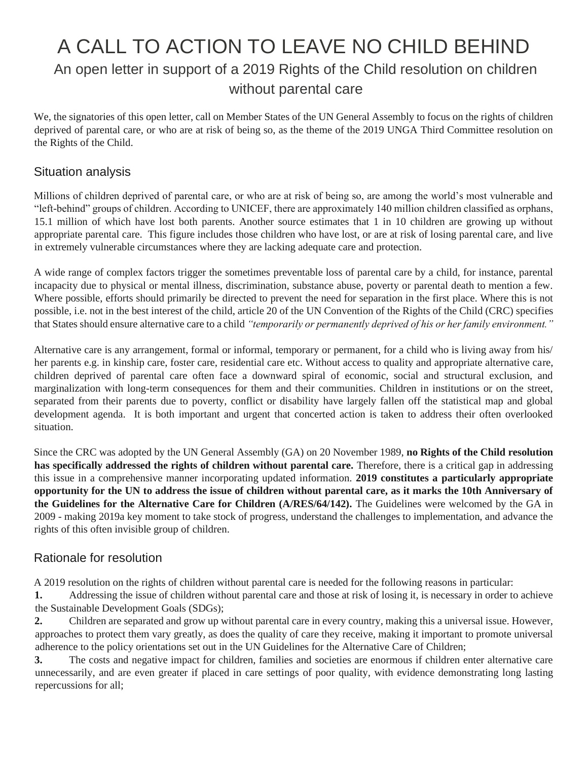# A CALL TO ACTION TO LEAVE NO CHILD BEHIND An open letter in support of a 2019 Rights of the Child resolution on children without parental care

We, the signatories of this open letter, call on Member States of the UN General Assembly to focus on the rights of children deprived of parental care, or who are at risk of being so, as the theme of the 2019 UNGA Third Committee resolution on the Rights of the Child.

#### Situation analysis

Millions of children deprived of parental care, or who are at risk of being so, are among the world's most vulnerable and "left-behind" groups of children. According to UNICEF, there are approximately 140 million children classified as orphans, 15.1 million of which have lost both parents. Another source estimates that 1 in 10 children are growing up without appropriate parental care. This figure includes those children who have lost, or are at risk of losing parental care, and live in extremely vulnerable circumstances where they are lacking adequate care and protection.

A wide range of complex factors trigger the sometimes preventable loss of parental care by a child, for instance, parental incapacity due to physical or mental illness, discrimination, substance abuse, poverty or parental death to mention a few. Where possible, efforts should primarily be directed to prevent the need for separation in the first place. Where this is not possible, i.e. not in the best interest of the child, article 20 of the UN Convention of the Rights of the Child (CRC) specifies that States should ensure alternative care to a child *"temporarily or permanently deprived of his or her family environment."*

Alternative care is any arrangement, formal or informal, temporary or permanent, for a child who is living away from his/ her parents e.g. in kinship care, foster care, residential care etc. Without access to quality and appropriate alternative care, children deprived of parental care often face a downward spiral of economic, social and structural exclusion, and marginalization with long-term consequences for them and their communities. Children in institutions or on the street, separated from their parents due to poverty, conflict or disability have largely fallen off the statistical map and global development agenda. It is both important and urgent that concerted action is taken to address their often overlooked situation.

Since the CRC was adopted by the UN General Assembly (GA) on 20 November 1989, **no Rights of the Child resolution has specifically addressed the rights of children without parental care.** Therefore, there is a critical gap in addressing this issue in a comprehensive manner incorporating updated information. **2019 constitutes a particularly appropriate opportunity for the UN to address the issue of children without parental care, as it marks the 10th Anniversary of the Guidelines for the Alternative Care for Children (A/RES/64/142).** The Guidelines were welcomed by the GA in 2009 - making 2019a key moment to take stock of progress, understand the challenges to implementation, and advance the rights of this often invisible group of children.

#### Rationale for resolution

A 2019 resolution on the rights of children without parental care is needed for the following reasons in particular:

**1.** Addressing the issue of children without parental care and those at risk of losing it, is necessary in order to achieve the Sustainable Development Goals (SDGs);

**2.** Children are separated and grow up without parental care in every country, making this a universal issue. However, approaches to protect them vary greatly, as does the quality of care they receive, making it important to promote universal adherence to the policy orientations set out in the UN Guidelines for the Alternative Care of Children;

**3.** The costs and negative impact for children, families and societies are enormous if children enter alternative care unnecessarily, and are even greater if placed in care settings of poor quality, with evidence demonstrating long lasting repercussions for all;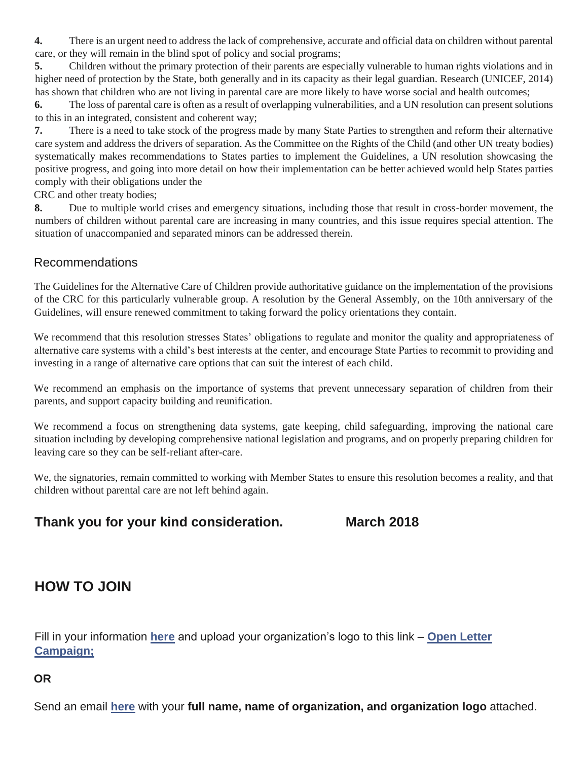**4.** There is an urgent need to address the lack of comprehensive, accurate and official data on children without parental care, or they will remain in the blind spot of policy and social programs;

**5.** Children without the primary protection of their parents are especially vulnerable to human rights violations and in higher need of protection by the State, both generally and in its capacity as their legal guardian. Research (UNICEF, 2014) has shown that children who are not living in parental care are more likely to have worse social and health outcomes;

**6.** The loss of parental care is often as a result of overlapping vulnerabilities, and a UN resolution can present solutions to this in an integrated, consistent and coherent way;

**7.** There is a need to take stock of the progress made by many State Parties to strengthen and reform their alternative care system and address the drivers of separation. As the Committee on the Rights of the Child (and other UN treaty bodies) systematically makes recommendations to States parties to implement the Guidelines, a UN resolution showcasing the positive progress, and going into more detail on how their implementation can be better achieved would help States parties comply with their obligations under the

CRC and other treaty bodies;

**8.** Due to multiple world crises and emergency situations, including those that result in cross-border movement, the numbers of children without parental care are increasing in many countries, and this issue requires special attention. The situation of unaccompanied and separated minors can be addressed therein.

#### Recommendations

The Guidelines for the Alternative Care of Children provide authoritative guidance on the implementation of the provisions of the CRC for this particularly vulnerable group. A resolution by the General Assembly, on the 10th anniversary of the Guidelines, will ensure renewed commitment to taking forward the policy orientations they contain.

We recommend that this resolution stresses States' obligations to regulate and monitor the quality and appropriateness of alternative care systems with a child's best interests at the center, and encourage State Parties to recommit to providing and investing in a range of alternative care options that can suit the interest of each child.

We recommend an emphasis on the importance of systems that prevent unnecessary separation of children from their parents, and support capacity building and reunification.

We recommend a focus on strengthening data systems, gate keeping, child safeguarding, improving the national care situation including by developing comprehensive national legislation and programs, and on properly preparing children for leaving care so they can be self-reliant after-care.

We, the signatories, remain committed to working with Member States to ensure this resolution becomes a reality, and that children without parental care are not left behind again.

### **Thank you for your kind consideration. March 2018**

## **HOW TO JOIN**

Fill in your information **[here](https://docs.google.com/forms/d/1xZnbCPXRCNvn1EDekJ-Fr_Qa0Chyk5Hw-Tf6tFc7MNo/viewform?edit_requested=true)** [a](https://docs.google.com/forms/d/1xZnbCPXRCNvn1EDekJ-Fr_Qa0Chyk5Hw-Tf6tFc7MNo/viewform?edit_requested=true)nd upload your organization's logo to this link – **[Open Letter](https://www.dropbox.com/request/NqrfeEt6GiC6uJzGcKmy)  [Campaign;](https://www.dropbox.com/request/NqrfeEt6GiC6uJzGcKmy)**

**OR**

Send an email **here** with your **full name, name of organization, and organization logo** attached.